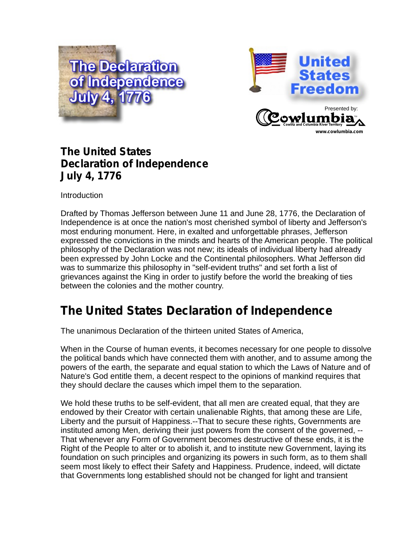



## **The United States Declaration of Independence July 4, 1776**

**Introduction** 

Drafted by Thomas Jefferson between June 11 and June 28, 1776, the Declaration of Independence is at once the nation's most cherished symbol of liberty and Jefferson's most enduring monument. Here, in exalted and unforgettable phrases, Jefferson expressed the convictions in the minds and hearts of the American people. The political philosophy of the Declaration was not new; its ideals of individual liberty had already been expressed by John Locke and the Continental philosophers. What Jefferson did was to summarize this philosophy in "self-evident truths" and set forth a list of grievances against the King in order to justify before the world the breaking of ties between the colonies and the mother country.

# **The United States Declaration of Independence**

The unanimous Declaration of the thirteen united States of America,

When in the Course of human events, it becomes necessary for one people to dissolve the political bands which have connected them with another, and to assume among the powers of the earth, the separate and equal station to which the Laws of Nature and of Nature's God entitle them, a decent respect to the opinions of mankind requires that they should declare the causes which impel them to the separation.

We hold these truths to be self-evident, that all men are created equal, that they are endowed by their Creator with certain unalienable Rights, that among these are Life, Liberty and the pursuit of Happiness.--That to secure these rights, Governments are instituted among Men, deriving their just powers from the consent of the governed, -- That whenever any Form of Government becomes destructive of these ends, it is the Right of the People to alter or to abolish it, and to institute new Government, laying its foundation on such principles and organizing its powers in such form, as to them shall seem most likely to effect their Safety and Happiness. Prudence, indeed, will dictate that Governments long established should not be changed for light and transient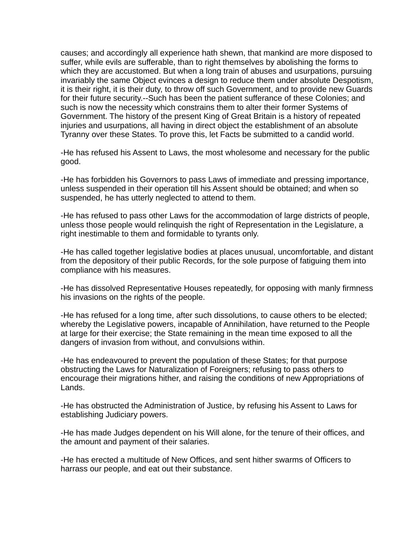causes; and accordingly all experience hath shewn, that mankind are more disposed to suffer, while evils are sufferable, than to right themselves by abolishing the forms to which they are accustomed. But when a long train of abuses and usurpations, pursuing invariably the same Object evinces a design to reduce them under absolute Despotism, it is their right, it is their duty, to throw off such Government, and to provide new Guards for their future security.--Such has been the patient sufferance of these Colonies; and such is now the necessity which constrains them to alter their former Systems of Government. The history of the present King of Great Britain is a history of repeated injuries and usurpations, all having in direct object the establishment of an absolute Tyranny over these States. To prove this, let Facts be submitted to a candid world.

-He has refused his Assent to Laws, the most wholesome and necessary for the public good.

-He has forbidden his Governors to pass Laws of immediate and pressing importance, unless suspended in their operation till his Assent should be obtained; and when so suspended, he has utterly neglected to attend to them.

-He has refused to pass other Laws for the accommodation of large districts of people, unless those people would relinquish the right of Representation in the Legislature, a right inestimable to them and formidable to tyrants only.

-He has called together legislative bodies at places unusual, uncomfortable, and distant from the depository of their public Records, for the sole purpose of fatiguing them into compliance with his measures.

-He has dissolved Representative Houses repeatedly, for opposing with manly firmness his invasions on the rights of the people.

-He has refused for a long time, after such dissolutions, to cause others to be elected; whereby the Legislative powers, incapable of Annihilation, have returned to the People at large for their exercise; the State remaining in the mean time exposed to all the dangers of invasion from without, and convulsions within.

-He has endeavoured to prevent the population of these States; for that purpose obstructing the Laws for Naturalization of Foreigners; refusing to pass others to encourage their migrations hither, and raising the conditions of new Appropriations of Lands.

-He has obstructed the Administration of Justice, by refusing his Assent to Laws for establishing Judiciary powers.

-He has made Judges dependent on his Will alone, for the tenure of their offices, and the amount and payment of their salaries.

-He has erected a multitude of New Offices, and sent hither swarms of Officers to harrass our people, and eat out their substance.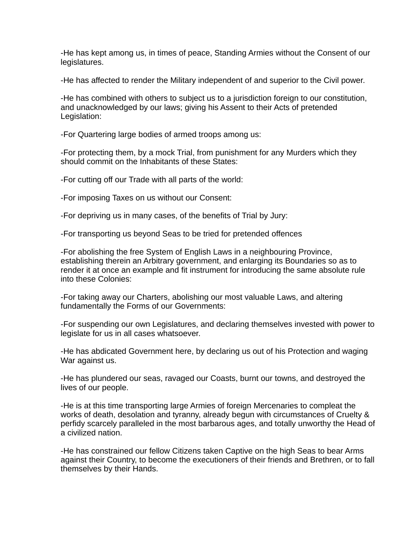-He has kept among us, in times of peace, Standing Armies without the Consent of our legislatures.

-He has affected to render the Military independent of and superior to the Civil power.

-He has combined with others to subject us to a jurisdiction foreign to our constitution, and unacknowledged by our laws; giving his Assent to their Acts of pretended Legislation:

-For Quartering large bodies of armed troops among us:

-For protecting them, by a mock Trial, from punishment for any Murders which they should commit on the Inhabitants of these States:

-For cutting off our Trade with all parts of the world:

-For imposing Taxes on us without our Consent:

-For depriving us in many cases, of the benefits of Trial by Jury:

-For transporting us beyond Seas to be tried for pretended offences

-For abolishing the free System of English Laws in a neighbouring Province, establishing therein an Arbitrary government, and enlarging its Boundaries so as to render it at once an example and fit instrument for introducing the same absolute rule into these Colonies:

-For taking away our Charters, abolishing our most valuable Laws, and altering fundamentally the Forms of our Governments:

-For suspending our own Legislatures, and declaring themselves invested with power to legislate for us in all cases whatsoever.

-He has abdicated Government here, by declaring us out of his Protection and waging War against us.

-He has plundered our seas, ravaged our Coasts, burnt our towns, and destroyed the lives of our people.

-He is at this time transporting large Armies of foreign Mercenaries to compleat the works of death, desolation and tyranny, already begun with circumstances of Cruelty & perfidy scarcely paralleled in the most barbarous ages, and totally unworthy the Head of a civilized nation.

-He has constrained our fellow Citizens taken Captive on the high Seas to bear Arms against their Country, to become the executioners of their friends and Brethren, or to fall themselves by their Hands.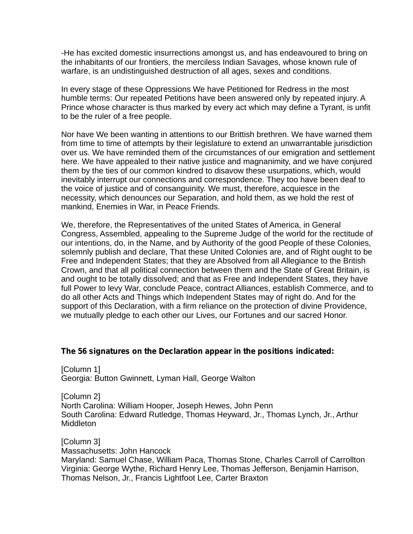-He has excited domestic insurrections amongst us, and has endeavoured to bring on the inhabitants of our frontiers, the merciless Indian Savages, whose known rule of warfare, is an undistinguished destruction of all ages, sexes and conditions.

In every stage of these Oppressions We have Petitioned for Redress in the most humble terms: Our repeated Petitions have been answered only by repeated injury. A Prince whose character is thus marked by every act which may define a Tyrant, is unfit to be the ruler of a free people.

Nor have We been wanting in attentions to our Brittish brethren. We have warned them from time to time of attempts by their legislature to extend an unwarrantable jurisdiction over us. We have reminded them of the circumstances of our emigration and settlement here. We have appealed to their native justice and magnanimity, and we have conjured them by the ties of our common kindred to disavow these usurpations, which, would inevitably interrupt our connections and correspondence. They too have been deaf to the voice of justice and of consanguinity. We must, therefore, acquiesce in the necessity, which denounces our Separation, and hold them, as we hold the rest of mankind, Enemies in War, in Peace Friends.

We, therefore, the Representatives of the united States of America, in General Congress, Assembled, appealing to the Supreme Judge of the world for the rectitude of our intentions, do, in the Name, and by Authority of the good People of these Colonies, solemnly publish and declare, That these United Colonies are, and of Right ought to be Free and Independent States; that they are Absolved from all Allegiance to the British Crown, and that all political connection between them and the State of Great Britain, is and ought to be totally dissolved; and that as Free and Independent States, they have full Power to levy War, conclude Peace, contract Alliances, establish Commerce, and to do all other Acts and Things which Independent States may of right do. And for the support of this Declaration, with a firm reliance on the protection of divine Providence, we mutually pledge to each other our Lives, our Fortunes and our sacred Honor.

### **The 56 signatures on the Declaration appear in the positions indicated:**

[Column 1] Georgia: Button Gwinnett, Lyman Hall, George Walton

[Column 2] North Carolina: William Hooper, Joseph Hewes, John Penn South Carolina: Edward Rutledge, Thomas Heyward, Jr., Thomas Lynch, Jr., Arthur **Middleton** 

[Column 3] Massachusetts: John Hancock Maryland: Samuel Chase, William Paca, Thomas Stone, Charles Carroll of Carrollton Virginia: George Wythe, Richard Henry Lee, Thomas Jefferson, Benjamin Harrison, Thomas Nelson, Jr., Francis Lightfoot Lee, Carter Braxton